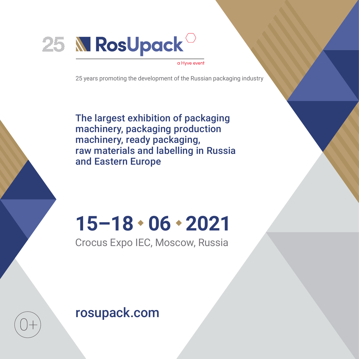

#### a Hyve event

25 years promoting the development of the Russian packaging industry

The largest exhibition of packaging machinery, packaging production machinery, ready packaging, raw materials and labelling in Russia and Eastern Europe

# **15–18 06 2021**

Crocus Expo IEC, Moscow, Russia

rosupack.com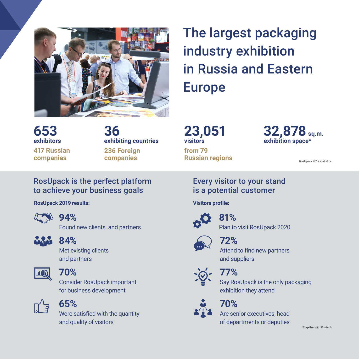

**36**

**exhibiting countries**

**236 Foreign companies**

## The largest packaging industry exhibition in Russia and Eastern Europe

**23,051 visitors from 79 Russian regions** **32,878sq.m. exhibition space\***

RosUpack 2019 statistics

#### RosUpack is the perfect platform to achieve your business goals

**RosUpack 2019 results:**



**653 exhibitors**

**417 Russian companies** 

#### **94%**

Found new clients and partners



#### **84%**

Met existing clients and partners



#### **70%**

Consider RosUpack important for business development



#### **65%**

Were satisfied with the quantity and quality of visitors

#### Every visitor to your stand is a potential customer

**Visitors profile:**



#### **81%** Plan to visit RosUpack 2020



### **72%**

Attend to find new partners and suppliers



## **77%**

Say RosUpack is the only packaging exhibition they attend

### **70%**

Are senior executives, head of departments or deputies

\*Together with Printech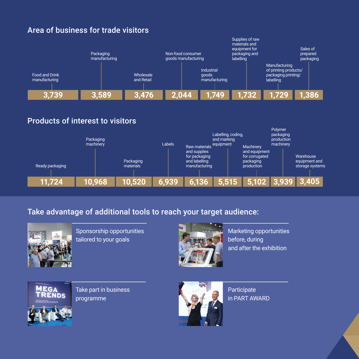

#### Products of interest to visitors



#### Take advantage of additional tools to reach your target audience:



Sponsorship opportunities tailored to your goals



Marketing opportunities before, during and after the exhibition



Take part in business programme



**Participate** in PART AWARD